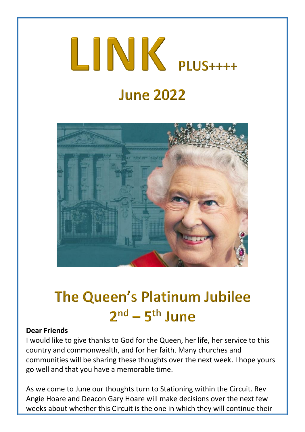# $LINK$  PLUS++++ **June 2022**



## **The Queen's Platinum Jubilee**  $2<sup>nd</sup> - 5<sup>th</sup>$  June

#### **Dear Friends**

I would like to give thanks to God for the Queen, her life, her service to this country and commonwealth, and for her faith. Many churches and communities will be sharing these thoughts over the next week. I hope yours go well and that you have a memorable time.

As we come to June our thoughts turn to Stationing within the Circuit. Rev Angie Hoare and Deacon Gary Hoare will make decisions over the next few weeks about whether this Circuit is the one in which they will continue their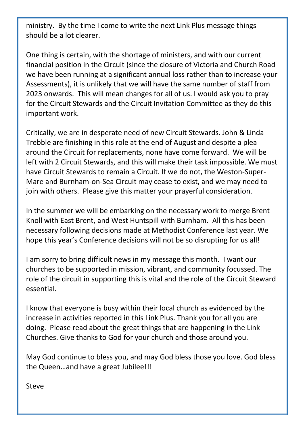ministry. By the time I come to write the next Link Plus message things should be a lot clearer.

One thing is certain, with the shortage of ministers, and with our current financial position in the Circuit (since the closure of Victoria and Church Road we have been running at a significant annual loss rather than to increase your Assessments), it is unlikely that we will have the same number of staff from 2023 onwards. This will mean changes for all of us. I would ask you to pray for the Circuit Stewards and the Circuit Invitation Committee as they do this important work.

Critically, we are in desperate need of new Circuit Stewards. John & Linda Trebble are finishing in this role at the end of August and despite a plea around the Circuit for replacements, none have come forward. We will be left with 2 Circuit Stewards, and this will make their task impossible. We must have Circuit Stewards to remain a Circuit. If we do not, the Weston-Super-Mare and Burnham-on-Sea Circuit may cease to exist, and we may need to join with others. Please give this matter your prayerful consideration.

In the summer we will be embarking on the necessary work to merge Brent Knoll with East Brent, and West Huntspill with Burnham. All this has been necessary following decisions made at Methodist Conference last year. We hope this year's Conference decisions will not be so disrupting for us all!

I am sorry to bring difficult news in my message this month. I want our churches to be supported in mission, vibrant, and community focussed. The role of the circuit in supporting this is vital and the role of the Circuit Steward essential.

I know that everyone is busy within their local church as evidenced by the increase in activities reported in this Link Plus. Thank you for all you are doing. Please read about the great things that are happening in the Link Churches. Give thanks to God for your church and those around you.

May God continue to bless you, and may God bless those you love. God bless the Queen…and have a great Jubilee!!!

Steve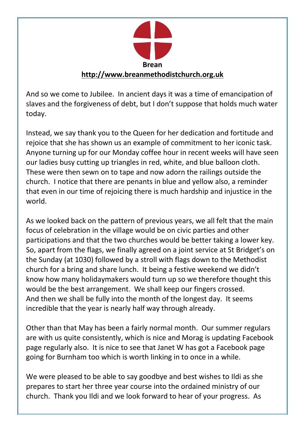

And so we come to Jubilee. In ancient days it was a time of emancipation of slaves and the forgiveness of debt, but I don't suppose that holds much water today.

Instead, we say thank you to the Queen for her dedication and fortitude and rejoice that she has shown us an example of commitment to her iconic task. Anyone turning up for our Monday coffee hour in recent weeks will have seen our ladies busy cutting up triangles in red, white, and blue balloon cloth. These were then sewn on to tape and now adorn the railings outside the church. I notice that there are penants in blue and yellow also, a reminder that even in our time of rejoicing there is much hardship and injustice in the world.

As we looked back on the pattern of previous years, we all felt that the main focus of celebration in the village would be on civic parties and other participations and that the two churches would be better taking a lower key. So, apart from the flags, we finally agreed on a joint service at St Bridget's on the Sunday (at 1030) followed by a stroll with flags down to the Methodist church for a bring and share lunch. It being a festive weekend we didn't know how many holidaymakers would turn up so we therefore thought this would be the best arrangement. We shall keep our fingers crossed. And then we shall be fully into the month of the longest day. It seems incredible that the year is nearly half way through already.

Other than that May has been a fairly normal month. Our summer regulars are with us quite consistently, which is nice and Morag is updating Facebook page regularly also. It is nice to see that Janet W has got a Facebook page going for Burnham too which is worth linking in to once in a while.

We were pleased to be able to say goodbye and best wishes to Ildi as she prepares to start her three year course into the ordained ministry of our church. Thank you Ildi and we look forward to hear of your progress. As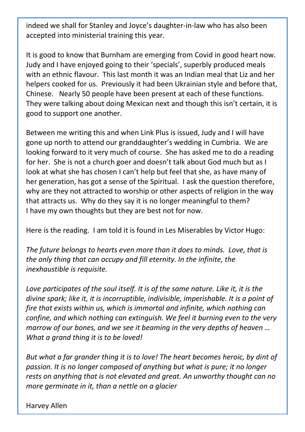indeed we shall for Stanley and Joyce's daughter-in-law who has also been accepted into ministerial training this year.

It is good to know that Burnham are emerging from Covid in good heart now. Judy and I have enjoyed going to their 'specials', superbly produced meals with an ethnic flavour. This last month it was an Indian meal that Liz and her helpers cooked for us. Previously it had been Ukrainian style and before that, Chinese. Nearly 50 people have been present at each of these functions. They were talking about doing Mexican next and though this isn't certain, it is good to support one another.

Between me writing this and when Link Plus is issued, Judy and I will have gone up north to attend our granddaughter's wedding in Cumbria. We are looking forward to it very much of course. She has asked me to do a reading for her. She is not a church goer and doesn't talk about God much but as I look at what she has chosen I can't help but feel that she, as have many of her generation, has got a sense of the Spiritual. I ask the question therefore, why are they not attracted to worship or other aspects of religion in the way that attracts us. Why do they say it is no longer meaningful to them? I have my own thoughts but they are best not for now.

Here is the reading. I am told it is found in Les Miserables by Victor Hugo:

*The future belongs to hearts even more than it does to minds. Love, that is the only thing that can occupy and fill eternity. In the infinite, the inexhaustible is requisite.*

*Love participates of the soul itself. It is of the same nature. Like it, it is the divine spark; like it, it is incorruptible, indivisible, imperishable. It is a point of fire that exists within us, which is immortal and infinite, which nothing can confine, and which nothing can extinguish. We feel it burning even to the very marrow of our bones, and we see it beaming in the very depths of heaven … What a grand thing it is to be loved!*

*But what a far grander thing it is to love! The heart becomes heroic, by dint of passion. It is no longer composed of anything but what is pure; it no longer rests on anything that is not elevated and great. An unworthy thought can no more germinate in it, than a nettle on a glacier*

Harvey Allen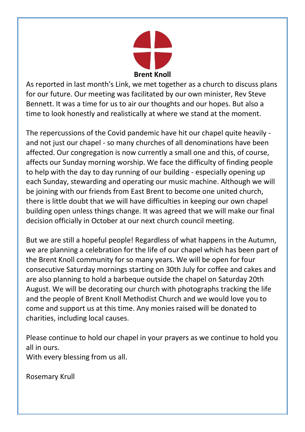

As reported in last month's Link, we met together as a church to discuss plans for our future. Our meeting was facilitated by our own minister, Rev Steve Bennett. It was a time for us to air our thoughts and our hopes. But also a time to look honestly and realistically at where we stand at the moment.

The repercussions of the Covid pandemic have hit our chapel quite heavily and not just our chapel - so many churches of all denominations have been affected. Our congregation is now currently a small one and this, of course, affects our Sunday morning worship. We face the difficulty of finding people to help with the day to day running of our building - especially opening up each Sunday, stewarding and operating our music machine. Although we will be joining with our friends from East Brent to become one united church, there is little doubt that we will have difficulties in keeping our own chapel building open unless things change. It was agreed that we will make our final decision officially in October at our next church council meeting.

But we are still a hopeful people! Regardless of what happens in the Autumn, we are planning a celebration for the life of our chapel which has been part of the Brent Knoll community for so many years. We will be open for four consecutive Saturday mornings starting on 30th July for coffee and cakes and are also planning to hold a barbeque outside the chapel on Saturday 20th August. We will be decorating our church with photographs tracking the life and the people of Brent Knoll Methodist Church and we would love you to come and support us at this time. Any monies raised will be donated to charities, including local causes.

Please continue to hold our chapel in your prayers as we continue to hold you all in ours.

With every blessing from us all.

Rosemary Krull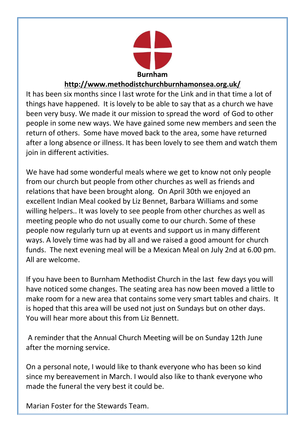

#### **<http://www.methodistchurchburnhamonsea.org.uk/>**

It has been six months since I last wrote for the Link and in that time a lot of things have happened. It is lovely to be able to say that as a church we have been very busy. We made it our mission to spread the word of God to other people in some new ways. We have gained some new members and seen the return of others. Some have moved back to the area, some have returned after a long absence or illness. It has been lovely to see them and watch them join in different activities.

We have had some wonderful meals where we get to know not only people from our church but people from other churches as well as friends and relations that have been brought along. On April 30th we enjoyed an excellent Indian Meal cooked by Liz Bennet, Barbara Williams and some willing helpers.. It was lovely to see people from other churches as well as meeting people who do not usually come to our church. Some of these people now regularly turn up at events and support us in many different ways. A lovely time was had by all and we raised a good amount for church funds. The next evening meal will be a Mexican Meal on July 2nd at 6.00 pm. All are welcome.

If you have been to Burnham Methodist Church in the last few days you will have noticed some changes. The seating area has now been moved a little to make room for a new area that contains some very smart tables and chairs. It is hoped that this area will be used not just on Sundays but on other days. You will hear more about this from Liz Bennett.

A reminder that the Annual Church Meeting will be on Sunday 12th June after the morning service.

On a personal note, I would like to thank everyone who has been so kind since my bereavement in March. I would also like to thank everyone who made the funeral the very best it could be.

Marian Foster for the Stewards Team.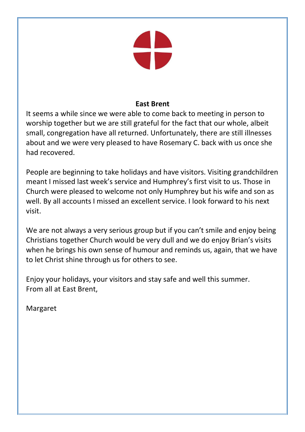

#### **East Brent**

It seems a while since we were able to come back to meeting in person to worship together but we are still grateful for the fact that our whole, albeit small, congregation have all returned. Unfortunately, there are still illnesses about and we were very pleased to have Rosemary C. back with us once she had recovered.

People are beginning to take holidays and have visitors. Visiting grandchildren meant I missed last week's service and Humphrey's first visit to us. Those in Church were pleased to welcome not only Humphrey but his wife and son as well. By all accounts I missed an excellent service. I look forward to his next visit.

We are not always a very serious group but if you can't smile and enjoy being Christians together Church would be very dull and we do enjoy Brian's visits when he brings his own sense of humour and reminds us, again, that we have to let Christ shine through us for others to see.

Enjoy your holidays, your visitors and stay safe and well this summer. From all at East Brent,

Margaret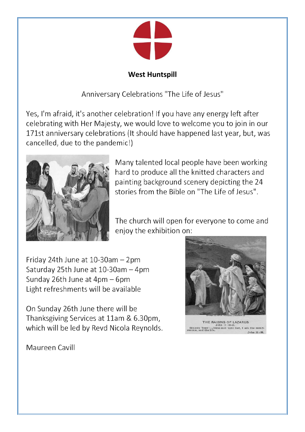

#### **West Huntspill**

Anniversary Celebrations "The Life of Jesus"

Yes, I'm afraid, it's another celebration! If you have any energy left after celebrating with Her Majesty, we would love to welcome you to join in our 171st anniversary celebrations (It should have happened last year, but, was cancelled, due to the pandemic!)



Many talented local people have been working hard to produce all the knitted characters and painting background scenery depicting the 24 stories from the Bible on "The Life of Jesus".

The church will open for everyone to come and enjoy the exhibition on:

Friday 24th June at 10-30am - 2pm Saturday 25th June at 10-30am - 4pm Sunday 26th June at 4pm - 6pm Light refreshments will be available

On Sunday 26th June there will be Thanksgiving Services at 11am & 6.30pm. which will be led by Revd Nicola Reynolds.



THE RAISING OF LAZARUS<br>
John 11:32-45.<br>
DER TEXT:-Jesus said unto her, I am the John 11:25.

Maureen Cavill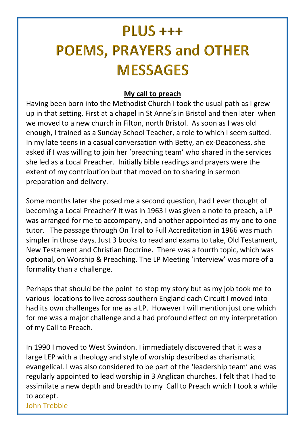## $PLUS +++$ **POEMS, PRAYERS and OTHER MESSAGES**

#### **My call to preach**

Having been born into the Methodist Church I took the usual path as I grew up in that setting. First at a chapel in St Anne's in Bristol and then later when we moved to a new church in Filton, north Bristol. As soon as I was old enough, I trained as a Sunday School Teacher, a role to which I seem suited. In my late teens in a casual conversation with Betty, an ex-Deaconess, she asked if I was willing to join her 'preaching team' who shared in the services she led as a Local Preacher. Initially bible readings and prayers were the extent of my contribution but that moved on to sharing in sermon preparation and delivery.

Some months later she posed me a second question, had I ever thought of becoming a Local Preacher? It was in 1963 I was given a note to preach, a LP was arranged for me to accompany, and another appointed as my one to one tutor. The passage through On Trial to Full Accreditation in 1966 was much simpler in those days. Just 3 books to read and exams to take, Old Testament, New Testament and Christian Doctrine. There was a fourth topic, which was optional, on Worship & Preaching. The LP Meeting 'interview' was more of a formality than a challenge.

Perhaps that should be the point to stop my story but as my job took me to various locations to live across southern England each Circuit I moved into had its own challenges for me as a LP. However I will mention just one which for me was a major challenge and a had profound effect on my interpretation of my Call to Preach.

In 1990 I moved to West Swindon. I immediately discovered that it was a large LEP with a theology and style of worship described as charismatic evangelical. I was also considered to be part of the 'leadership team' and was regularly appointed to lead worship in 3 Anglican churches. I felt that I had to assimilate a new depth and breadth to my Call to Preach which I took a while to accept.

John Trebble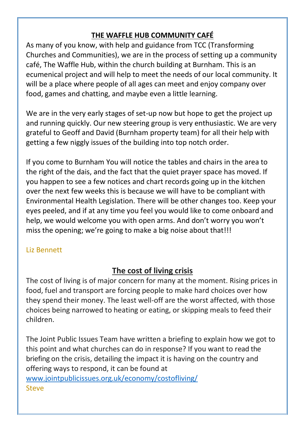#### **THE WAFFLE HUB COMMUNITY CAFÉ**

As many of you know, with help and guidance from TCC (Transforming Churches and Communities), we are in the process of setting up a community café, The Waffle Hub, within the church building at Burnham. This is an ecumenical project and will help to meet the needs of our local community. It will be a place where people of all ages can meet and enjoy company over food, games and chatting, and maybe even a little learning.

We are in the very early stages of set-up now but hope to get the project up and running quickly. Our new steering group is very enthusiastic. We are very grateful to Geoff and David (Burnham property team) for all their help with getting a few niggly issues of the building into top notch order.

If you come to Burnham You will notice the tables and chairs in the area to the right of the dais, and the fact that the quiet prayer space has moved. If you happen to see a few notices and chart records going up in the kitchen over the next few weeks this is because we will have to be compliant with Environmental Health Legislation. There will be other changes too. Keep your eyes peeled, and if at any time you feel you would like to come onboard and help, we would welcome you with open arms. And don't worry you won't miss the opening; we're going to make a big noise about that!!!

#### Liz Bennett

#### **The cost of living crisis**

The cost of living is of major concern for many at the moment. Rising prices in food, fuel and transport are forcing people to make hard choices over how they spend their money. The least well-off are the worst affected, with those choices being narrowed to heating or eating, or skipping meals to feed their children.

The Joint Public Issues Team have written a briefing to explain how we got to this point and what churches can do in response? If you want to read the briefing on the crisis, detailing the impact it is having on the country and offering ways to respond, it can be found at [www.jointpublicissues.org.uk/economy/costofliving/](http://www.jointpublicissues.org.uk/economy/costofliving/) Steve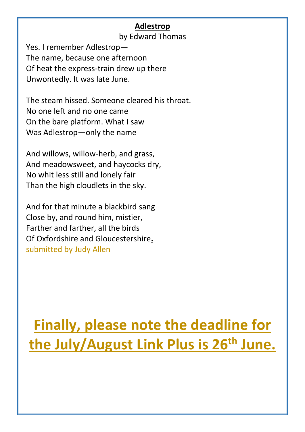#### **Adlestrop**

by Edward Thomas

Yes. I remember Adlestrop— The name, because one afternoon Of heat the express-train drew up there Unwontedly. It was late June.

The steam hissed. Someone cleared his throat. No one left and no one came On the bare platform. What I saw Was Adlestrop—only the name

And willows, willow-herb, and grass, And meadowsweet, and haycocks dry, No whit less still and lonely fair Than the high cloudlets in the sky.

And for that minute a blackbird sang Close by, and round him, mistier, Farther and farther, all the birds Of Oxfordshire and Gloucestershire**.** submitted by Judy Allen

## **Finally, please note the deadline for the July/August Link Plus is 26th June.**